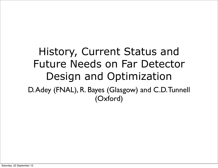#### History, Current Status and Future Needs on Far Detector Design and Optimization D. Adey (FNAL), R. Bayes (Glasgow) and C.D. Tunnell (Oxford)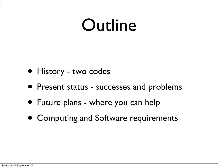#### Outline

- History two codes
- Present status successes and problems
- Future plans where you can help
- Computing and Software requirements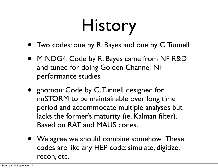# History

- Two codes: one by R. Bayes and one by C. Tunnell
- MINDG4: Code by R. Bayes came from NF R&D and tuned for doing Golden Channel NF performance studies
- gnomon: Code by C. Tunnell designed for nuSTORM to be maintainable over long time period and accommodate multiple analyses but lacks the former's maturity (ie. Kalman filter). Based on RAT and MAUS codes.
- We agree we should combine somehow. These codes are like any HEP code: simulate, digitize, recon, etc.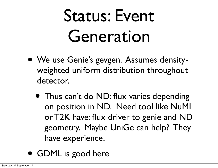# Status: Event Generation

- We use Genie's gevgen. Assumes densityweighted uniform distribution throughout detector.
	- Thus can't do ND: flux varies depending on position in ND. Need tool like NuMI or T2K have: flux driver to genie and ND geometry. Maybe UniGe can help? They have experience.
- GDML is good here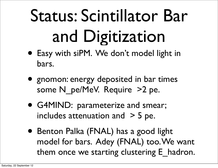# Status: Scintillator Bar and Digitization

- Easy with siPM. We don't model light in bars.
- gnomon: energy deposited in bar times some N\_pe/MeV. Require >2 pe.
- G4MIND: parameterize and smear; includes attenuation and  $>$  5 pe.
- Benton Palka (FNAL) has a good light model for bars. Adey (FNAL) too. We want them once we starting clustering E hadron.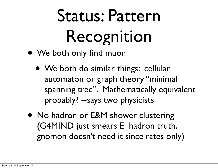# Status: Pattern Recognition

- We both only find muon
	- We both do similar things: cellular automaton or graph theory "minimal spanning tree". Mathematically equivalent probably? --says two physicists
- No hadron or E&M shower clustering (G4MIND just smears E\_hadron truth, gnomon doesn't need it since rates only)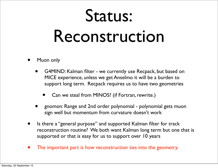#### Status:

#### Reconstruction

- Muon only
	- G4MIND: Kalman filter we currently use Recpack, but based on MICE experience, unless we get Anselmo it will be a burden to support long term. Recpack requires us to have two geometries
		- Can we steal from MINOS? (if Fortran, rewrite.)
	- gnomon: Range and 2nd order polynomial polynomial gets muon sign well but momentum from curvature doesn't work
- Is there a "general purpose" and supported Kalman filter for track reconstruction routine? We both want Kalman long term but one that is supported or that is easy for us to support over 10 years
- The important part is how reconstruction ties into the geometry.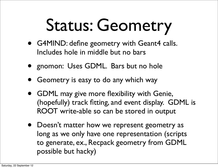# Status: Geometry

- G4MIND: define geometry with Geant4 calls. Includes hole in middle but no bars
- gnomon: Uses GDML. Bars but no hole
- Geometry is easy to do any which way
- GDML may give more flexibility with Genie, (hopefully) track fitting, and event display. GDML is ROOT write-able so can be stored in output
- Doesn't matter how we represent geometry as long as we only have one representation (scripts to generate, ex., Recpack geometry from GDML possible but hacky)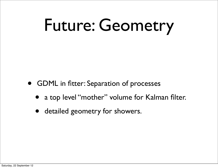# Future: Geometry

- GDML in fitter: Separation of processes
	- a top level "mother" volume for Kalman filter.
	- detailed geometry for showers.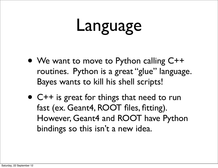### Language

- We want to move to Python calling C++ routines. Python is a great "glue" language. Bayes wants to kill his shell scripts!
- C++ is great for things that need to run fast (ex. Geant4, ROOT files, fitting). However, Geant4 and ROOT have Python bindings so this isn't a new idea.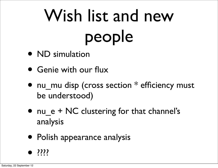# Wish list and new people

- ND simulation
- Genie with our flux
- nu mu disp (cross section  $*$  efficiency must be understood)
- nu  $e$  + NC clustering for that channel's analysis
- Polish appearance analysis

$$
\bullet
$$
 ????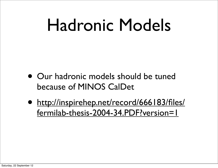### Hadronic Models

- Our hadronic models should be tuned because of MINOS CalDet
- [http://inspirehep.net/record/666183/files/](http://inspirehep.net/record/666183/files/fermilab-thesis-2004-34.PDF?version=1) [fermilab-thesis-2004-34.PDF?version=1](http://inspirehep.net/record/666183/files/fermilab-thesis-2004-34.PDF?version=1)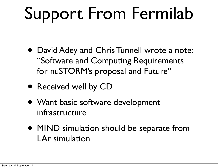# Support From Fermilab

- David Adey and Chris Tunnell wrote a note: "Software and Computing Requirements for nuSTORM's proposal and Future"
- Received well by CD
- Want basic software development infrastructure
- MIND simulation should be separate from LAr simulation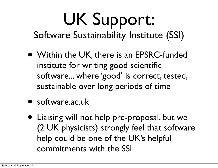# UK Support:

Software Sustainability Institute (SSI)

- Within the UK, there is an EPSRC-funded institute for writing good scientific software... where 'good' is correct, tested, sustainable over long periods of time
- software.ac.uk
- Liaising will not help pre-proposal, but we (2 UK physicists) strongly feel that software help could be one of the UK's helpful commitments with the SSI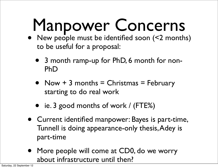# Manpower Concerns

- New people must be identified soon (<2 months) to be useful for a proposal:
	- 3 month ramp-up for PhD, 6 month for non-PhD
	- Now  $+$  3 months  $=$  Christmas  $=$  February starting to do real work
	- ie. 3 good months of work / (FTE%)
- Current identified manpower: Bayes is part-time, Tunnell is doing appearance-only thesis, Adey is part-time
- More people will come at CD0, do we worry about infrastructure until then?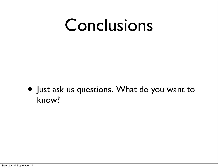#### Conclusions

• Just ask us questions. What do you want to know?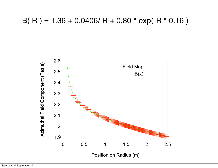#### $B(R) = 1.36 + 0.0406/R + 0.80 * exp(-R * 0.16)$